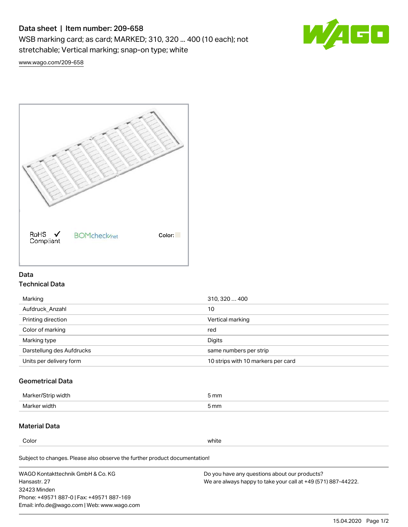# Data sheet | Item number: 209-658

WSB marking card; as card; MARKED; 310, 320 ... 400 (10 each); not stretchable; Vertical marking; snap-on type; white



[www.wago.com/209-658](http://www.wago.com/209-658)



## Data Technical Data

| 310, 320  400                      |
|------------------------------------|
| 10                                 |
| Vertical marking                   |
| red                                |
| Digits                             |
| same numbers per strip             |
| 10 strips with 10 markers per card |
|                                    |

## Geometrical Data

| طلقاء ئ<br><b>Marker</b><br>widtr | ັກmm |
|-----------------------------------|------|
| Marker width                      | 5 mm |

## Material Data

Color white

Subject to changes. Please also observe the further product documentation!

WAGO Kontakttechnik GmbH & Co. KG Hansastr. 27 32423 Minden Phone: +49571 887-0 | Fax: +49571 887-169 Email: info.de@wago.com | Web: www.wago.com Do you have any questions about our products? We are always happy to take your call at +49 (571) 887-44222.